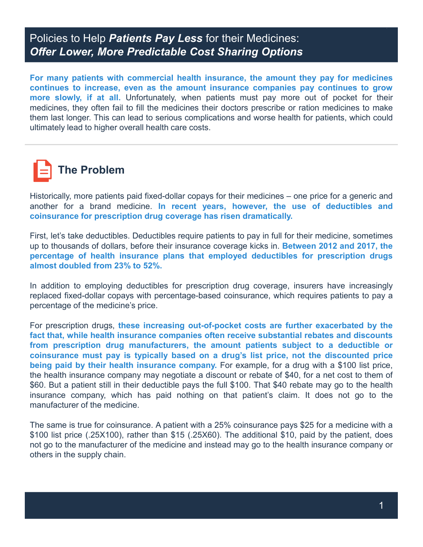## Policies to Help *Patients Pay Less* for their Medicines: *Offer Lower, More Predictable Cost Sharing Options*

**For many patients with commercial health insurance, the amount they pay for medicines continues to increase, even as the amount insurance companies pay continues to grow more slowly, if at all.** Unfortunately, when patients must pay more out of pocket for their medicines, they often fail to fill the medicines their doctors prescribe or ration medicines to make them last longer. This can lead to serious complications and worse health for patients, which could ultimately lead to higher overall health care costs.



Historically, more patients paid fixed-dollar copays for their medicines – one price for a generic and another for a brand medicine. **In recent years, however, the use of deductibles and coinsurance for prescription drug coverage has risen dramatically.**

First, let's take deductibles. Deductibles require patients to pay in full for their medicine, sometimes up to thousands of dollars, before their insurance coverage kicks in. **Between 2012 and 2017, the percentage of health insurance plans that employed deductibles for prescription drugs almost doubled from 23% to 52%.**

In addition to employing deductibles for prescription drug coverage, insurers have increasingly replaced fixed-dollar copays with percentage-based coinsurance, which requires patients to pay a percentage of the medicine's price.

For prescription drugs, **these increasing out-of-pocket costs are further exacerbated by the fact that, while health insurance companies often receive substantial rebates and discounts from prescription drug manufacturers, the amount patients subject to a deductible or coinsurance must pay is typically based on a drug's list price, not the discounted price being paid by their health insurance company.** For example, for a drug with a \$100 list price, the health insurance company may negotiate a discount or rebate of \$40, for a net cost to them of \$60. But a patient still in their deductible pays the full \$100. That \$40 rebate may go to the health insurance company, which has paid nothing on that patient's claim. It does not go to the manufacturer of the medicine.

The same is true for coinsurance. A patient with a 25% coinsurance pays \$25 for a medicine with a \$100 list price (.25X100), rather than \$15 (.25X60). The additional \$10, paid by the patient, does not go to the manufacturer of the medicine and instead may go to the health insurance company or others in the supply chain.